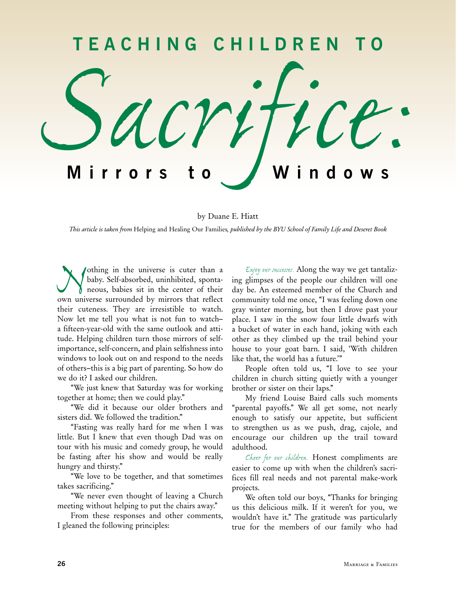

by Duane E. Hiatt

*This article is taken from* Helping and Healing Our Families*, published by the BYU School of Family Life and Deseret Book*

*Nothing in the universe is cuter than a* baby. Self-absorbed, uninhibited, sponta-<br>neous, babies sit in the center of their<br>own universe surrounded by mirrors that reflect baby. Self-absorbed, uninhibited, spontaneous, babies sit in the center of their own universe surrounded by mirrors that reflect their cuteness. They are irresistible to watch. Now let me tell you what is not fun to watch– a fifteen-year-old with the same outlook and attitude. Helping children turn those mirrors of selfimportance, self-concern, and plain selfishness into windows to look out on and respond to the needs of others–this is a big part of parenting. So how do we do it? I asked our children.

"We just knew that Saturday was for working together at home; then we could play."

"We did it because our older brothers and sisters did. We followed the tradition."

"Fasting was really hard for me when I was little. But I knew that even though Dad was on tour with his music and comedy group, he would be fasting after his show and would be really hungry and thirsty."

"We love to be together, and that sometimes takes sacrificing."

"We never even thought of leaving a Church meeting without helping to put the chairs away."

From these responses and other comments, I gleaned the following principles:

*Enjoy our successes.* Along the way we get tantalizing glimpses of the people our children will one day be. An esteemed member of the Church and community told me once, "I was feeling down one gray winter morning, but then I drove past your place. I saw in the snow four little dwarfs with a bucket of water in each hand, joking with each other as they climbed up the trail behind your house to your goat barn. I said, 'With children like that, the world has a future.'"

People often told us, "I love to see your children in church sitting quietly with a younger brother or sister on their laps."

My friend Louise Baird calls such moments "parental payoffs." We all get some, not nearly enough to satisfy our appetite, but sufficient to strengthen us as we push, drag, cajole, and encourage our children up the trail toward adulthood.

*Cheer for our children.* Honest compliments are easier to come up with when the children's sacrifices fill real needs and not parental make-work projects.

We often told our boys, "Thanks for bringing" us this delicious milk. If it weren't for you, we wouldn't have it." The gratitude was particularly true for the members of our family who had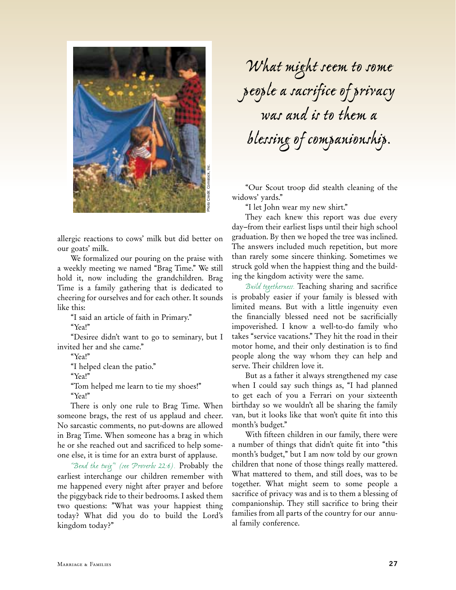

allergic reactions to cows' milk but did better on our goats' milk.

We formalized our pouring on the praise with a weekly meeting we named "Brag Time." We still hold it, now including the grandchildren. Brag Time is a family gathering that is dedicated to cheering for ourselves and for each other. It sounds like this:

"I said an article of faith in Primary."

"Yea!"

"Desiree didn't want to go to seminary, but I invited her and she came."

"Yea!"

"I helped clean the patio."

"Yea!"

"Tom helped me learn to tie my shoes!"

"Yea!"

There is only one rule to Brag Time. When someone brags, the rest of us applaud and cheer. No sarcastic comments, no put-downs are allowed in Brag Time. When someone has a brag in which he or she reached out and sacrificed to help someone else, it is time for an extra burst of applause.

*"Bend the twig"1 (see Proverbs 22:6).* Probably the earliest interchange our children remember with me happened every night after prayer and before the piggyback ride to their bedrooms. I asked them two questions: "What was your happiest thing today? What did you do to build the Lord's kingdom today?"

*What might seem to some people a sacrifice of privacy was and is to them a blessing of companionship.*

"Our Scout troop did stealth cleaning of the widows' yards."

"I let John wear my new shirt."

They each knew this report was due every day–from their earliest lisps until their high school graduation. By then we hoped the tree was inclined. The answers included much repetition, but more than rarely some sincere thinking. Sometimes we struck gold when the happiest thing and the building the kingdom activity were the same.

*Build togetherness.* Teaching sharing and sacrifice is probably easier if your family is blessed with limited means. But with a little ingenuity even the financially blessed need not be sacrificially impoverished. I know a well-to-do family who takes "service vacations." They hit the road in their motor home, and their only destination is to find people along the way whom they can help and serve. Their children love it.

But as a father it always strengthened my case when I could say such things as, "I had planned to get each of you a Ferrari on your sixteenth birthday so we wouldn't all be sharing the family van, but it looks like that won't quite fit into this month's budget."

With fifteen children in our family, there were a number of things that didn't quite fit into "this month's budget," but I am now told by our grown children that none of those things really mattered. What mattered to them, and still does, was to be together. What might seem to some people a sacrifice of privacy was and is to them a blessing of companionship. They still sacrifice to bring their families from all parts of the country for our annual family conference.